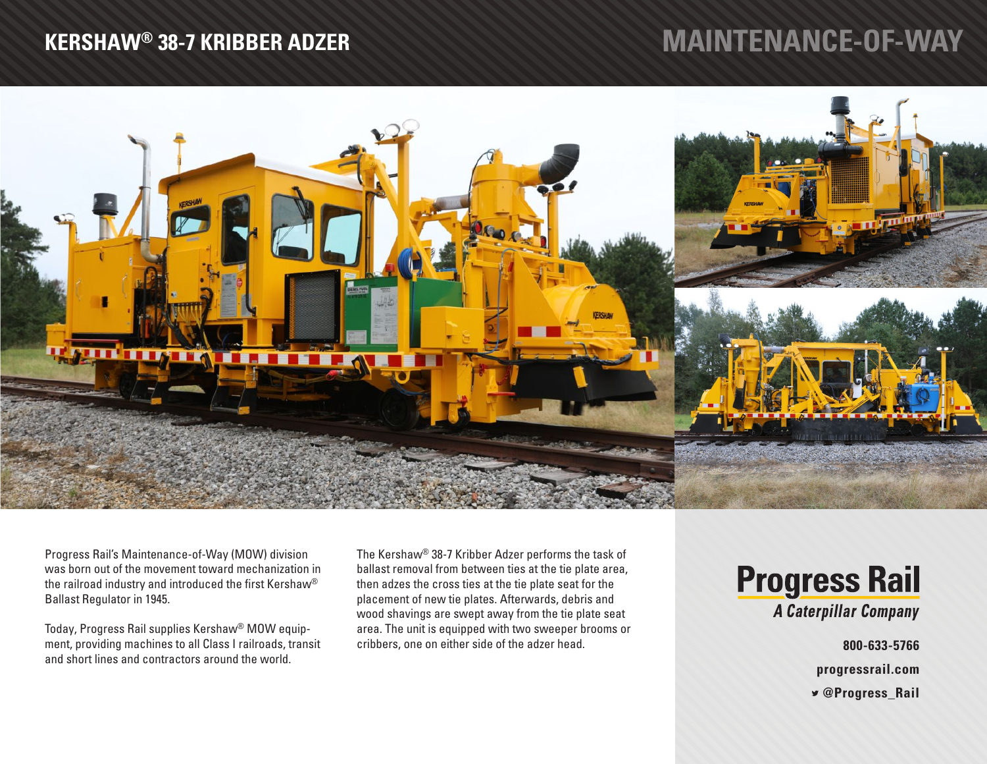## **KERSHAW® 38-7 KRIBBER ADZER**

## **MAINTENANCE-OF-WAY**



Progress Rail's Maintenance-of-Way (MOW) division was born out of the movement toward mechanization in the railroad industry and introduced the first Kershaw® Ballast Regulator in 1945.

Today, Progress Rail supplies Kershaw® MOW equipment, providing machines to all Class I railroads, transit and short lines and contractors around the world.

The Kershaw® 38-7 Kribber Adzer performs the task of ballast removal from between ties at the tie plate area, then adzes the cross ties at the tie plate seat for the placement of new tie plates. Afterwards, debris and wood shavings are swept away from the tie plate seat area. The unit is equipped with two sweeper brooms or cribbers, one on either side of the adzer head.

## **Progress Rail** A Caterpillar Company

**800-633-5766**

**progressrail.com**

 **@Progress\_Rail**